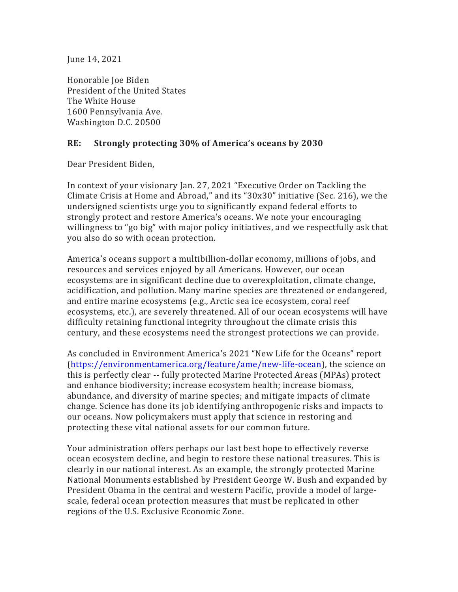June 14, 2021

Honorable Ioe Biden President of the United States The White House 1600 Pennsylvania Ave. Washington D.C. 20500

## **RE: Strongly protecting 30% of America's oceans by 2030**

Dear President Biden,

In context of your visionary Jan. 27, 2021 "Executive Order on Tackling the Climate Crisis at Home and Abroad," and its "30x30" initiative (Sec. 216), we the undersigned scientists urge you to significantly expand federal efforts to strongly protect and restore America's oceans. We note your encouraging willingness to "go big" with major policy initiatives, and we respectfully ask that you also do so with ocean protection.

America's oceans support a multibillion-dollar economy, millions of jobs, and resources and services enjoyed by all Americans. However, our ocean ecosystems are in significant decline due to overexploitation, climate change, acidification, and pollution. Many marine species are threatened or endangered, and entire marine ecosystems (e.g., Arctic sea ice ecosystem, coral reef ecosystems, etc.), are severely threatened. All of our ocean ecosystems will have difficulty retaining functional integrity throughout the climate crisis this century, and these ecosystems need the strongest protections we can provide.

As concluded in Environment America's 2021 "New Life for the Oceans" report (https://environmentamerica.org/feature/ame/new-life-ocean), the science on this is perfectly clear -- fully protected Marine Protected Areas (MPAs) protect and enhance biodiversity; increase ecosystem health; increase biomass, abundance, and diversity of marine species; and mitigate impacts of climate change. Science has done its job identifying anthropogenic risks and impacts to our oceans. Now policymakers must apply that science in restoring and protecting these vital national assets for our common future.

Your administration offers perhaps our last best hope to effectively reverse ocean ecosystem decline, and begin to restore these national treasures. This is clearly in our national interest. As an example, the strongly protected Marine National Monuments established by President George W. Bush and expanded by President Obama in the central and western Pacific, provide a model of largescale, federal ocean protection measures that must be replicated in other regions of the U.S. Exclusive Economic Zone.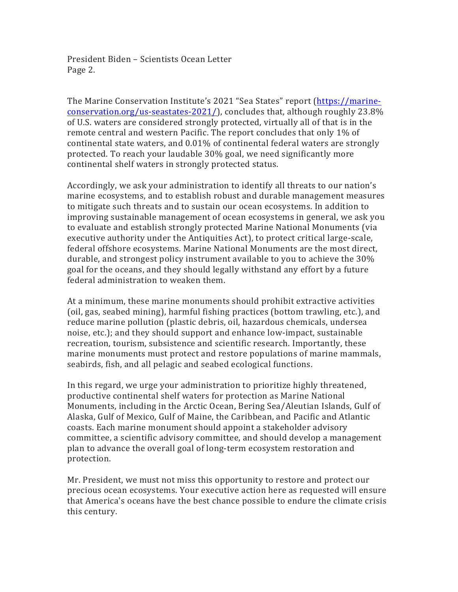President Biden – Scientists Ocean Letter Page 2.

The Marine Conservation Institute's 2021 "Sea States" report (https://marineconservation.org/us-seastates-2021/), concludes that, although roughly  $23.8\%$ of U.S. waters are considered strongly protected, virtually all of that is in the remote central and western Pacific. The report concludes that only  $1\%$  of continental state waters, and  $0.01\%$  of continental federal waters are strongly protected. To reach your laudable 30% goal, we need significantly more continental shelf waters in strongly protected status.

Accordingly, we ask your administration to identify all threats to our nation's marine ecosystems, and to establish robust and durable management measures to mitigate such threats and to sustain our ocean ecosystems. In addition to improving sustainable management of ocean ecosystems in general, we ask you to evaluate and establish strongly protected Marine National Monuments (via executive authority under the Antiquities Act), to protect critical large-scale, federal offshore ecosystems. Marine National Monuments are the most direct, durable, and strongest policy instrument available to you to achieve the 30% goal for the oceans, and they should legally withstand any effort by a future federal administration to weaken them.

At a minimum, these marine monuments should prohibit extractive activities (oil, gas, seabed mining), harmful fishing practices (bottom trawling, etc.), and reduce marine pollution (plastic debris, oil, hazardous chemicals, undersea noise, etc.); and they should support and enhance low-impact, sustainable recreation, tourism, subsistence and scientific research. Importantly, these marine monuments must protect and restore populations of marine mammals, seabirds, fish, and all pelagic and seabed ecological functions.

In this regard, we urge your administration to prioritize highly threatened, productive continental shelf waters for protection as Marine National Monuments, including in the Arctic Ocean, Bering Sea/Aleutian Islands, Gulf of Alaska, Gulf of Mexico, Gulf of Maine, the Caribbean, and Pacific and Atlantic coasts. Each marine monument should appoint a stakeholder advisory committee, a scientific advisory committee, and should develop a management plan to advance the overall goal of long-term ecosystem restoration and protection. 

Mr. President, we must not miss this opportunity to restore and protect our precious ocean ecosystems. Your executive action here as requested will ensure that America's oceans have the best chance possible to endure the climate crisis this century.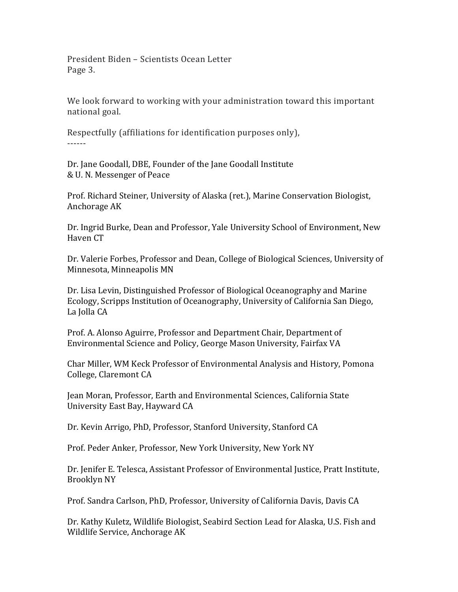President Biden – Scientists Ocean Letter Page 3.

We look forward to working with your administration toward this important national goal.

Respectfully (affiliations for identification purposes only), ------

Dr. Jane Goodall, DBE, Founder of the Jane Goodall Institute & U. N. Messenger of Peace

Prof. Richard Steiner, University of Alaska (ret.), Marine Conservation Biologist, Anchorage AK

Dr. Ingrid Burke, Dean and Professor, Yale University School of Environment, New Haven CT

Dr. Valerie Forbes, Professor and Dean, College of Biological Sciences, University of Minnesota, Minneapolis MN

Dr. Lisa Levin, Distinguished Professor of Biological Oceanography and Marine Ecology, Scripps Institution of Oceanography, University of California San Diego, La Jolla CA

Prof. A. Alonso Aguirre, Professor and Department Chair, Department of Environmental Science and Policy, George Mason University, Fairfax VA

Char Miller, WM Keck Professor of Environmental Analysis and History, Pomona College, Claremont CA

Jean Moran, Professor, Earth and Environmental Sciences, California State University East Bay, Hayward CA

Dr. Kevin Arrigo, PhD, Professor, Stanford University, Stanford CA

Prof. Peder Anker, Professor, New York University, New York NY

Dr. Jenifer E. Telesca, Assistant Professor of Environmental Justice, Pratt Institute, Brooklyn NY

Prof. Sandra Carlson, PhD, Professor, University of California Davis, Davis CA

Dr. Kathy Kuletz, Wildlife Biologist, Seabird Section Lead for Alaska, U.S. Fish and Wildlife Service, Anchorage AK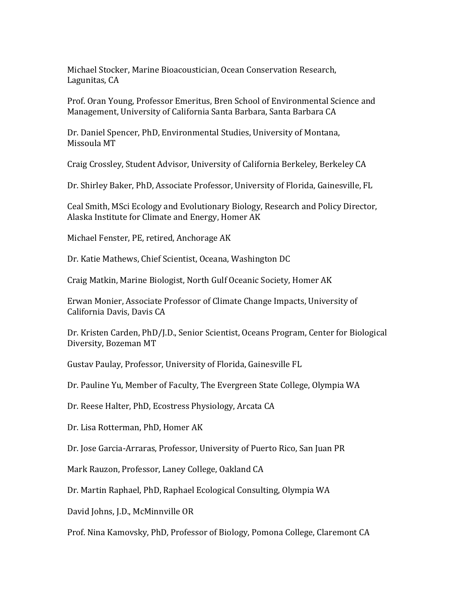Michael Stocker, Marine Bioacoustician, Ocean Conservation Research, Lagunitas, CA

Prof. Oran Young, Professor Emeritus, Bren School of Environmental Science and Management, University of California Santa Barbara, Santa Barbara CA

Dr. Daniel Spencer, PhD, Environmental Studies, University of Montana, Missoula MT

Craig Crossley, Student Advisor, University of California Berkeley, Berkeley CA

Dr. Shirley Baker, PhD, Associate Professor, University of Florida, Gainesville, FL

Ceal Smith, MSci Ecology and Evolutionary Biology, Research and Policy Director, Alaska Institute for Climate and Energy, Homer AK

Michael Fenster, PE, retired, Anchorage AK

Dr. Katie Mathews, Chief Scientist, Oceana, Washington DC

Craig Matkin, Marine Biologist, North Gulf Oceanic Society, Homer AK

Erwan Monier, Associate Professor of Climate Change Impacts, University of California Davis, Davis CA

Dr. Kristen Carden, PhD/J.D., Senior Scientist, Oceans Program, Center for Biological Diversity, Bozeman MT

Gustav Paulay, Professor, University of Florida, Gainesville FL

Dr. Pauline Yu, Member of Faculty, The Evergreen State College, Olympia WA

Dr. Reese Halter, PhD, Ecostress Physiology, Arcata CA

Dr. Lisa Rotterman, PhD, Homer AK

Dr. Jose Garcia-Arraras, Professor, University of Puerto Rico, San Juan PR

Mark Rauzon, Professor, Laney College, Oakland CA

Dr. Martin Raphael, PhD, Raphael Ecological Consulting, Olympia WA

David Johns, J.D., McMinnville OR

Prof. Nina Kamovsky, PhD, Professor of Biology, Pomona College, Claremont CA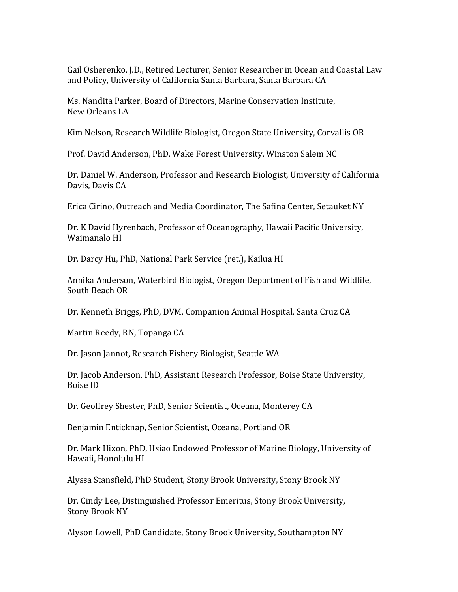Gail Osherenko, J.D., Retired Lecturer, Senior Researcher in Ocean and Coastal Law and Policy, University of California Santa Barbara, Santa Barbara CA

Ms. Nandita Parker, Board of Directors, Marine Conservation Institute, New Orleans LA

Kim Nelson, Research Wildlife Biologist, Oregon State University, Corvallis OR

Prof. David Anderson, PhD, Wake Forest University, Winston Salem NC

Dr. Daniel W. Anderson, Professor and Research Biologist, University of California Davis, Davis CA

Erica Cirino, Outreach and Media Coordinator, The Safina Center, Setauket NY

Dr. K David Hyrenbach, Professor of Oceanography, Hawaii Pacific University, Waimanalo HI

Dr. Darcy Hu, PhD, National Park Service (ret.), Kailua HI

Annika Anderson, Waterbird Biologist, Oregon Department of Fish and Wildlife, South Beach OR

Dr. Kenneth Briggs, PhD, DVM, Companion Animal Hospital, Santa Cruz CA

Martin Reedy, RN, Topanga CA

Dr. Jason Jannot, Research Fishery Biologist, Seattle WA

Dr. Jacob Anderson, PhD, Assistant Research Professor, Boise State University, Boise ID

Dr. Geoffrey Shester, PhD, Senior Scientist, Oceana, Monterey CA

Benjamin Enticknap, Senior Scientist, Oceana, Portland OR

Dr. Mark Hixon, PhD, Hsiao Endowed Professor of Marine Biology, University of Hawaii, Honolulu HI

Alyssa Stansfield, PhD Student, Stony Brook University, Stony Brook NY

Dr. Cindy Lee, Distinguished Professor Emeritus, Stony Brook University, Stony Brook NY

Alyson Lowell, PhD Candidate, Stony Brook University, Southampton NY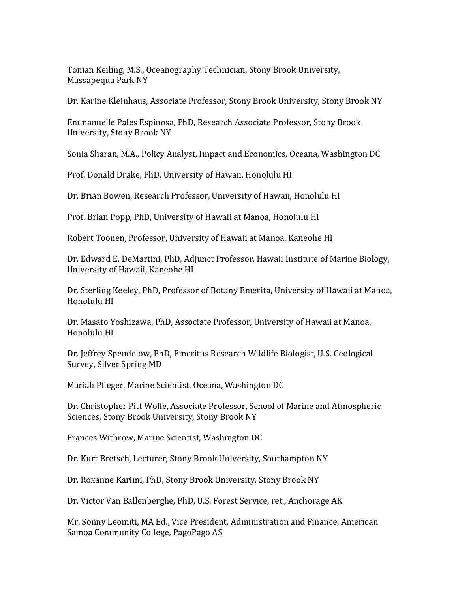Tonian Keiling, M.S., Oceanography Technician, Stony Brook University, Massapequa Park NY

Dr. Karine Kleinhaus, Associate Professor, Stony Brook University, Stony Brook NY

Emmanuelle Pales Espinosa, PhD, Research Associate Professor, Stony Brook University, Stony Brook NY

Sonia Sharan, M.A., Policy Analyst, Impact and Economics, Oceana, Washington DC

Prof. Donald Drake, PhD, University of Hawaii, Honolulu HI

Dr. Brian Bowen, Research Professor, University of Hawaii, Honolulu HI

Prof. Brian Popp, PhD, University of Hawaii at Manoa, Honolulu HI

Robert Toonen, Professor, University of Hawaii at Manoa, Kaneohe HI

Dr. Edward E. DeMartini, PhD, Adjunct Professor, Hawaii Institute of Marine Biology, University of Hawaii, Kaneohe HI

Dr. Sterling Keeley, PhD, Professor of Botany Emerita, University of Hawaii at Manoa, Honolulu HI

Dr. Masato Yoshizawa, PhD, Associate Professor, University of Hawaii at Manoa, Honolulu HI

Dr. Jeffrey Spendelow, PhD, Emeritus Research Wildlife Biologist, U.S. Geological Survey, Silver Spring MD

Mariah Pfleger, Marine Scientist, Oceana, Washington DC

Dr. Christopher Pitt Wolfe, Associate Professor, School of Marine and Atmospheric Sciences, Stony Brook University, Stony Brook NY

Frances Withrow, Marine Scientist, Washington DC

Dr. Kurt Bretsch, Lecturer, Stony Brook University, Southampton NY

Dr. Roxanne Karimi, PhD, Stony Brook University, Stony Brook NY

Dr. Victor Van Ballenberghe, PhD, U.S. Forest Service, ret., Anchorage AK

Mr. Sonny Leomiti, MA Ed., Vice President, Administration and Finance, American Samoa Community College, PagoPago AS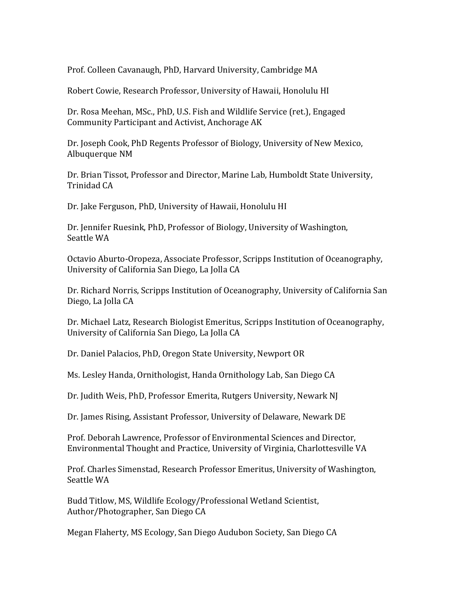Prof. Colleen Cavanaugh, PhD, Harvard University, Cambridge MA

Robert Cowie, Research Professor, University of Hawaii, Honolulu HI

Dr. Rosa Meehan, MSc., PhD, U.S. Fish and Wildlife Service (ret.), Engaged Community Participant and Activist, Anchorage AK

Dr. Joseph Cook, PhD Regents Professor of Biology, University of New Mexico, Albuquerque NM

Dr. Brian Tissot, Professor and Director, Marine Lab, Humboldt State University, Trinidad CA

Dr. Jake Ferguson, PhD, University of Hawaii, Honolulu HI

Dr. Jennifer Ruesink, PhD, Professor of Biology, University of Washington, Seattle WA

Octavio Aburto-Oropeza, Associate Professor, Scripps Institution of Oceanography, University of California San Diego, La Jolla CA

Dr. Richard Norris, Scripps Institution of Oceanography, University of California San Diego, La Jolla CA

Dr. Michael Latz, Research Biologist Emeritus, Scripps Institution of Oceanography, University of California San Diego, La Jolla CA

Dr. Daniel Palacios, PhD, Oregon State University, Newport OR

Ms. Lesley Handa, Ornithologist, Handa Ornithology Lab, San Diego CA

Dr. Judith Weis, PhD, Professor Emerita, Rutgers University, Newark NJ

Dr. James Rising, Assistant Professor, University of Delaware, Newark DE

Prof. Deborah Lawrence, Professor of Environmental Sciences and Director, Environmental Thought and Practice, University of Virginia, Charlottesville VA

Prof. Charles Simenstad, Research Professor Emeritus, University of Washington, Seattle WA

Budd Titlow, MS, Wildlife Ecology/Professional Wetland Scientist, Author/Photographer, San Diego CA

Megan Flaherty, MS Ecology, San Diego Audubon Society, San Diego CA